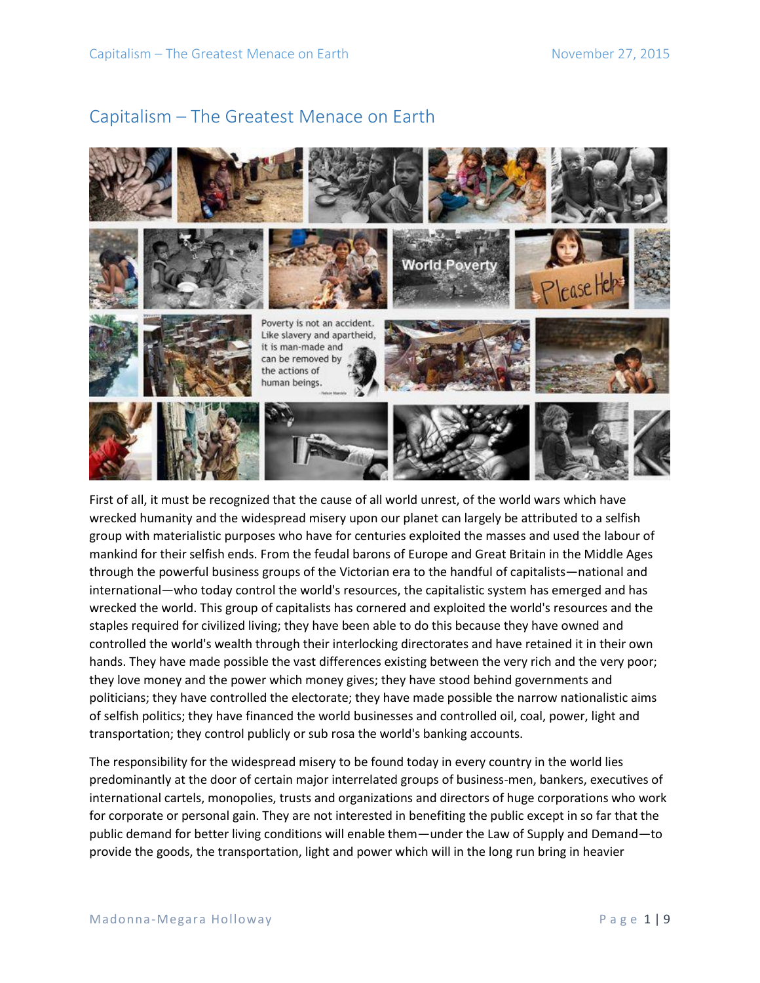## Capitalism – The Greatest Menace on Earth



First of all, it must be recognized that the cause of all world unrest, of the world wars which have wrecked humanity and the widespread misery upon our planet can largely be attributed to a selfish group with materialistic purposes who have for centuries exploited the masses and used the labour of mankind for their selfish ends. From the feudal barons of Europe and Great Britain in the Middle Ages through the powerful business groups of the Victorian era to the handful of capitalists—national and international—who today control the world's resources, the capitalistic system has emerged and has wrecked the world. This group of capitalists has cornered and exploited the world's resources and the staples required for civilized living; they have been able to do this because they have owned and controlled the world's wealth through their interlocking directorates and have retained it in their own hands. They have made possible the vast differences existing between the very rich and the very poor; they love money and the power which money gives; they have stood behind governments and politicians; they have controlled the electorate; they have made possible the narrow nationalistic aims of selfish politics; they have financed the world businesses and controlled oil, coal, power, light and transportation; they control publicly or sub rosa the world's banking accounts.

The responsibility for the widespread misery to be found today in every country in the world lies predominantly at the door of certain major interrelated groups of business-men, bankers, executives of international cartels, monopolies, trusts and organizations and directors of huge corporations who work for corporate or personal gain. They are not interested in benefiting the public except in so far that the public demand for better living conditions will enable them—under the Law of Supply and Demand—to provide the goods, the transportation, light and power which will in the long run bring in heavier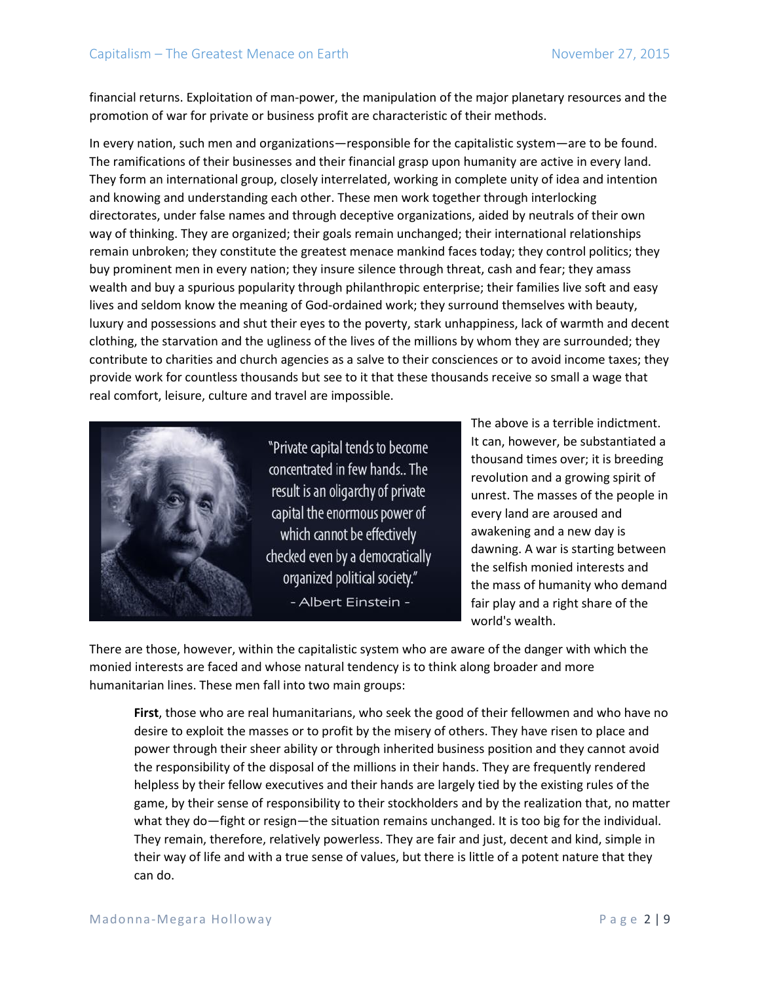financial returns. Exploitation of man-power, the manipulation of the major planetary resources and the promotion of war for private or business profit are characteristic of their methods.

In every nation, such men and organizations—responsible for the capitalistic system—are to be found. The ramifications of their businesses and their financial grasp upon humanity are active in every land. They form an international group, closely interrelated, working in complete unity of idea and intention and knowing and understanding each other. These men work together through interlocking directorates, under false names and through deceptive organizations, aided by neutrals of their own way of thinking. They are organized; their goals remain unchanged; their international relationships remain unbroken; they constitute the greatest menace mankind faces today; they control politics; they buy prominent men in every nation; they insure silence through threat, cash and fear; they amass wealth and buy a spurious popularity through philanthropic enterprise; their families live soft and easy lives and seldom know the meaning of God-ordained work; they surround themselves with beauty, luxury and possessions and shut their eyes to the poverty, stark unhappiness, lack of warmth and decent clothing, the starvation and the ugliness of the lives of the millions by whom they are surrounded; they contribute to charities and church agencies as a salve to their consciences or to avoid income taxes; they provide work for countless thousands but see to it that these thousands receive so small a wage that real comfort, leisure, culture and travel are impossible.



"Private capital tends to become concentrated in few hands.. The result is an oligarchy of private capital the enormous power of which cannot be effectively checked even by a democratically organized political society." - Albert Einstein -

The above is a terrible indictment. It can, however, be substantiated a thousand times over; it is breeding revolution and a growing spirit of unrest. The masses of the people in every land are aroused and awakening and a new day is dawning. A war is starting between the selfish monied interests and the mass of humanity who demand fair play and a right share of the world's wealth.

There are those, however, within the capitalistic system who are aware of the danger with which the monied interests are faced and whose natural tendency is to think along broader and more humanitarian lines. These men fall into two main groups:

**First**, those who are real humanitarians, who seek the good of their fellowmen and who have no desire to exploit the masses or to profit by the misery of others. They have risen to place and power through their sheer ability or through inherited business position and they cannot avoid the responsibility of the disposal of the millions in their hands. They are frequently rendered helpless by their fellow executives and their hands are largely tied by the existing rules of the game, by their sense of responsibility to their stockholders and by the realization that, no matter what they do—fight or resign—the situation remains unchanged. It is too big for the individual. They remain, therefore, relatively powerless. They are fair and just, decent and kind, simple in their way of life and with a true sense of values, but there is little of a potent nature that they can do.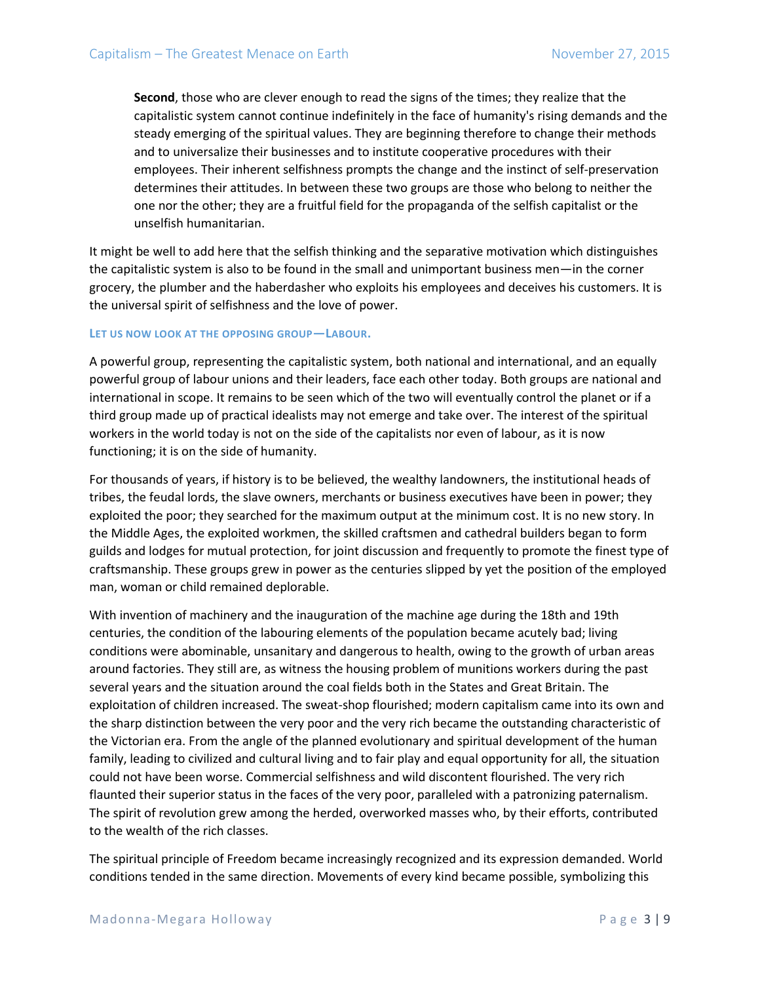**Second**, those who are clever enough to read the signs of the times; they realize that the capitalistic system cannot continue indefinitely in the face of humanity's rising demands and the steady emerging of the spiritual values. They are beginning therefore to change their methods and to universalize their businesses and to institute cooperative procedures with their employees. Their inherent selfishness prompts the change and the instinct of self-preservation determines their attitudes. In between these two groups are those who belong to neither the one nor the other; they are a fruitful field for the propaganda of the selfish capitalist or the unselfish humanitarian.

It might be well to add here that the selfish thinking and the separative motivation which distinguishes the capitalistic system is also to be found in the small and unimportant business men—in the corner grocery, the plumber and the haberdasher who exploits his employees and deceives his customers. It is the universal spirit of selfishness and the love of power.

#### **LET US NOW LOOK AT THE OPPOSING GROUP—LABOUR.**

A powerful group, representing the capitalistic system, both national and international, and an equally powerful group of labour unions and their leaders, face each other today. Both groups are national and international in scope. It remains to be seen which of the two will eventually control the planet or if a third group made up of practical idealists may not emerge and take over. The interest of the spiritual workers in the world today is not on the side of the capitalists nor even of labour, as it is now functioning; it is on the side of humanity.

For thousands of years, if history is to be believed, the wealthy landowners, the institutional heads of tribes, the feudal lords, the slave owners, merchants or business executives have been in power; they exploited the poor; they searched for the maximum output at the minimum cost. It is no new story. In the Middle Ages, the exploited workmen, the skilled craftsmen and cathedral builders began to form guilds and lodges for mutual protection, for joint discussion and frequently to promote the finest type of craftsmanship. These groups grew in power as the centuries slipped by yet the position of the employed man, woman or child remained deplorable.

With invention of machinery and the inauguration of the machine age during the 18th and 19th centuries, the condition of the labouring elements of the population became acutely bad; living conditions were abominable, unsanitary and dangerous to health, owing to the growth of urban areas around factories. They still are, as witness the housing problem of munitions workers during the past several years and the situation around the coal fields both in the States and Great Britain. The exploitation of children increased. The sweat-shop flourished; modern capitalism came into its own and the sharp distinction between the very poor and the very rich became the outstanding characteristic of the Victorian era. From the angle of the planned evolutionary and spiritual development of the human family, leading to civilized and cultural living and to fair play and equal opportunity for all, the situation could not have been worse. Commercial selfishness and wild discontent flourished. The very rich flaunted their superior status in the faces of the very poor, paralleled with a patronizing paternalism. The spirit of revolution grew among the herded, overworked masses who, by their efforts, contributed to the wealth of the rich classes.

The spiritual principle of Freedom became increasingly recognized and its expression demanded. World conditions tended in the same direction. Movements of every kind became possible, symbolizing this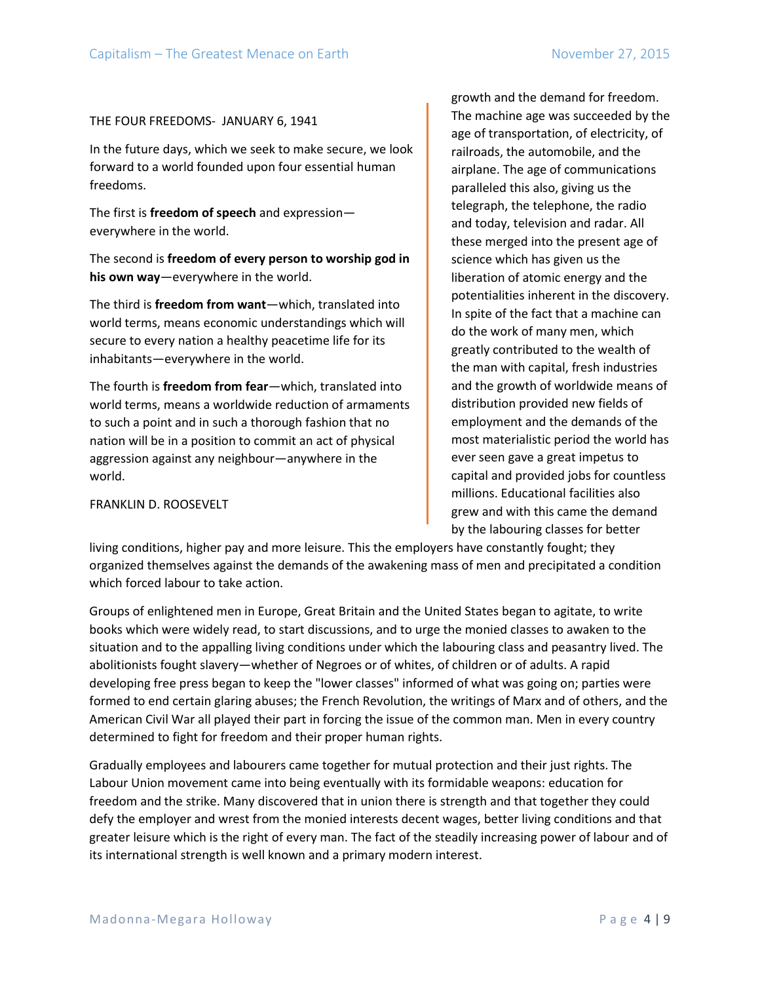### THE FOUR FREEDOMS- JANUARY 6, 1941

In the future days, which we seek to make secure, we look forward to a world founded upon four essential human freedoms.

The first is **freedom of speech** and expression everywhere in the world.

The second is **freedom of every person to worship god in his own way**—everywhere in the world.

The third is **freedom from want**—which, translated into world terms, means economic understandings which will secure to every nation a healthy peacetime life for its inhabitants—everywhere in the world.

The fourth is **freedom from fear**—which, translated into world terms, means a worldwide reduction of armaments to such a point and in such a thorough fashion that no nation will be in a position to commit an act of physical aggression against any neighbour—anywhere in the world.

### FRANKLIN D. ROOSEVELT

growth and the demand for freedom. The machine age was succeeded by the age of transportation, of electricity, of railroads, the automobile, and the airplane. The age of communications paralleled this also, giving us the telegraph, the telephone, the radio and today, television and radar. All these merged into the present age of science which has given us the liberation of atomic energy and the potentialities inherent in the discovery. In spite of the fact that a machine can do the work of many men, which greatly contributed to the wealth of the man with capital, fresh industries and the growth of worldwide means of distribution provided new fields of employment and the demands of the most materialistic period the world has ever seen gave a great impetus to capital and provided jobs for countless millions. Educational facilities also grew and with this came the demand by the labouring classes for better

living conditions, higher pay and more leisure. This the employers have constantly fought; they organized themselves against the demands of the awakening mass of men and precipitated a condition which forced labour to take action.

Groups of enlightened men in Europe, Great Britain and the United States began to agitate, to write books which were widely read, to start discussions, and to urge the monied classes to awaken to the situation and to the appalling living conditions under which the labouring class and peasantry lived. The abolitionists fought slavery—whether of Negroes or of whites, of children or of adults. A rapid developing free press began to keep the "lower classes" informed of what was going on; parties were formed to end certain glaring abuses; the French Revolution, the writings of Marx and of others, and the American Civil War all played their part in forcing the issue of the common man. Men in every country determined to fight for freedom and their proper human rights.

Gradually employees and labourers came together for mutual protection and their just rights. The Labour Union movement came into being eventually with its formidable weapons: education for freedom and the strike. Many discovered that in union there is strength and that together they could defy the employer and wrest from the monied interests decent wages, better living conditions and that greater leisure which is the right of every man. The fact of the steadily increasing power of labour and of its international strength is well known and a primary modern interest.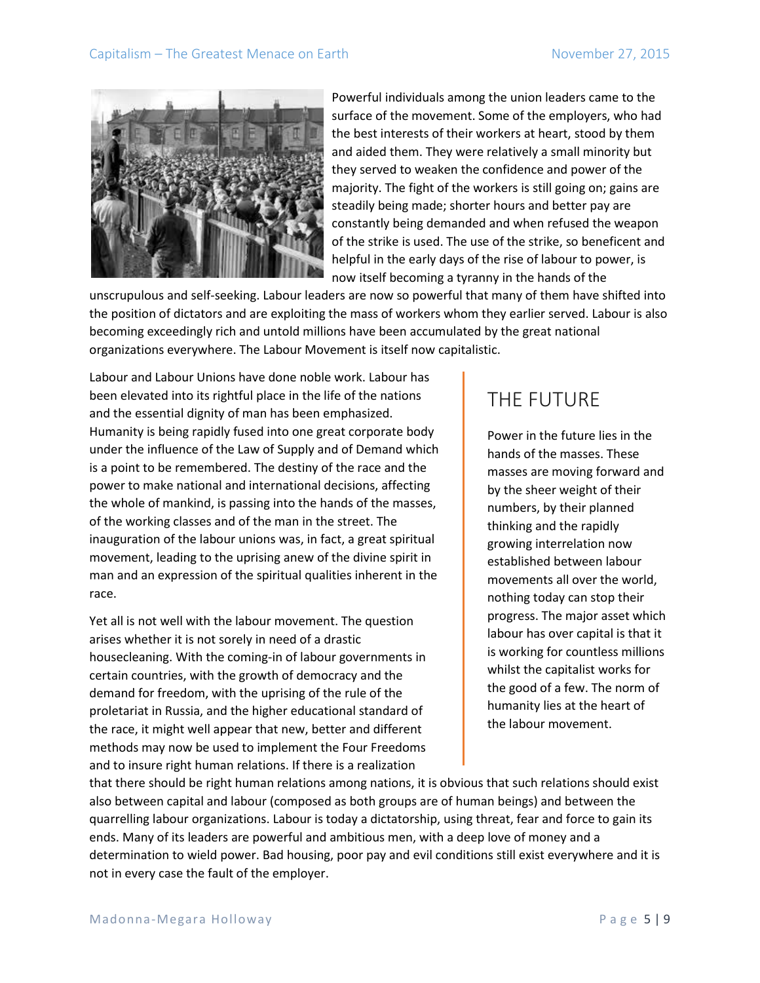

Powerful individuals among the union leaders came to the surface of the movement. Some of the employers, who had the best interests of their workers at heart, stood by them and aided them. They were relatively a small minority but they served to weaken the confidence and power of the majority. The fight of the workers is still going on; gains are steadily being made; shorter hours and better pay are constantly being demanded and when refused the weapon of the strike is used. The use of the strike, so beneficent and helpful in the early days of the rise of labour to power, is now itself becoming a tyranny in the hands of the

unscrupulous and self-seeking. Labour leaders are now so powerful that many of them have shifted into the position of dictators and are exploiting the mass of workers whom they earlier served. Labour is also becoming exceedingly rich and untold millions have been accumulated by the great national organizations everywhere. The Labour Movement is itself now capitalistic.

Labour and Labour Unions have done noble work. Labour has been elevated into its rightful place in the life of the nations and the essential dignity of man has been emphasized. Humanity is being rapidly fused into one great corporate body under the influence of the Law of Supply and of Demand which is a point to be remembered. The destiny of the race and the power to make national and international decisions, affecting the whole of mankind, is passing into the hands of the masses, of the working classes and of the man in the street. The inauguration of the labour unions was, in fact, a great spiritual movement, leading to the uprising anew of the divine spirit in man and an expression of the spiritual qualities inherent in the race.

Yet all is not well with the labour movement. The question arises whether it is not sorely in need of a drastic housecleaning. With the coming-in of labour governments in certain countries, with the growth of democracy and the demand for freedom, with the uprising of the rule of the proletariat in Russia, and the higher educational standard of the race, it might well appear that new, better and different methods may now be used to implement the Four Freedoms and to insure right human relations. If there is a realization

# THE FUTURE

Power in the future lies in the hands of the masses. These masses are moving forward and by the sheer weight of their numbers, by their planned thinking and the rapidly growing interrelation now established between labour movements all over the world, nothing today can stop their progress. The major asset which labour has over capital is that it is working for countless millions whilst the capitalist works for the good of a few. The norm of humanity lies at the heart of the labour movement.

that there should be right human relations among nations, it is obvious that such relations should exist also between capital and labour (composed as both groups are of human beings) and between the quarrelling labour organizations. Labour is today a dictatorship, using threat, fear and force to gain its ends. Many of its leaders are powerful and ambitious men, with a deep love of money and a determination to wield power. Bad housing, poor pay and evil conditions still exist everywhere and it is not in every case the fault of the employer.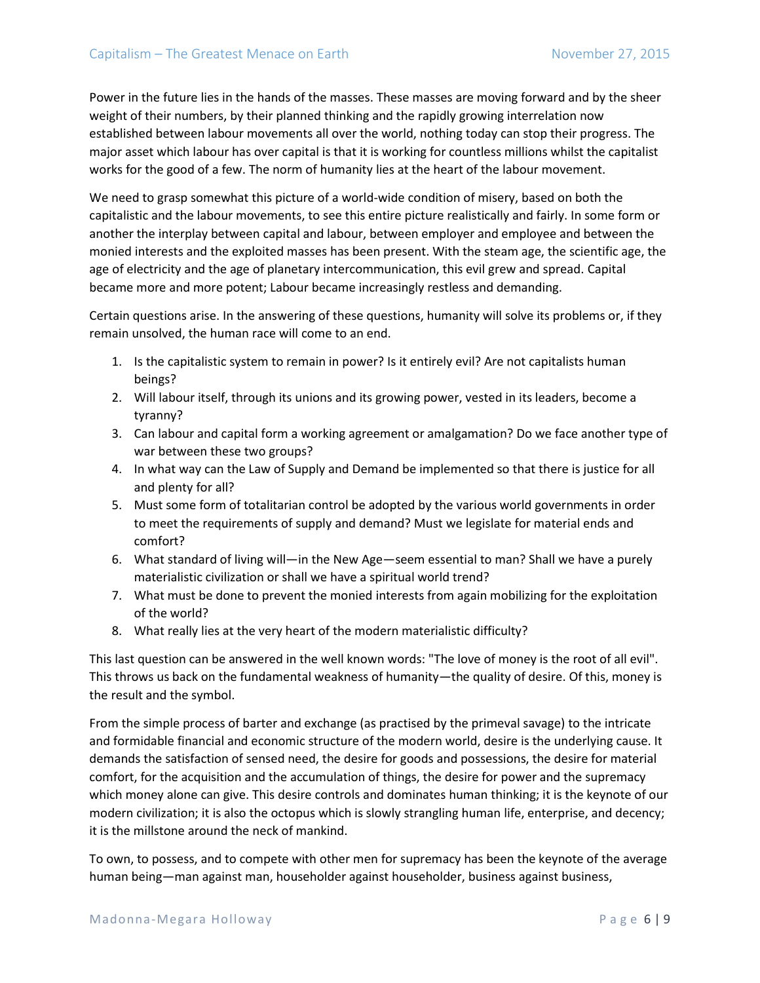Power in the future lies in the hands of the masses. These masses are moving forward and by the sheer weight of their numbers, by their planned thinking and the rapidly growing interrelation now established between labour movements all over the world, nothing today can stop their progress. The major asset which labour has over capital is that it is working for countless millions whilst the capitalist works for the good of a few. The norm of humanity lies at the heart of the labour movement.

We need to grasp somewhat this picture of a world-wide condition of misery, based on both the capitalistic and the labour movements, to see this entire picture realistically and fairly. In some form or another the interplay between capital and labour, between employer and employee and between the monied interests and the exploited masses has been present. With the steam age, the scientific age, the age of electricity and the age of planetary intercommunication, this evil grew and spread. Capital became more and more potent; Labour became increasingly restless and demanding.

Certain questions arise. In the answering of these questions, humanity will solve its problems or, if they remain unsolved, the human race will come to an end.

- 1. Is the capitalistic system to remain in power? Is it entirely evil? Are not capitalists human beings?
- 2. Will labour itself, through its unions and its growing power, vested in its leaders, become a tyranny?
- 3. Can labour and capital form a working agreement or amalgamation? Do we face another type of war between these two groups?
- 4. In what way can the Law of Supply and Demand be implemented so that there is justice for all and plenty for all?
- 5. Must some form of totalitarian control be adopted by the various world governments in order to meet the requirements of supply and demand? Must we legislate for material ends and comfort?
- 6. What standard of living will—in the New Age—seem essential to man? Shall we have a purely materialistic civilization or shall we have a spiritual world trend?
- 7. What must be done to prevent the monied interests from again mobilizing for the exploitation of the world?
- 8. What really lies at the very heart of the modern materialistic difficulty?

This last question can be answered in the well known words: "The love of money is the root of all evil". This throws us back on the fundamental weakness of humanity—the quality of desire. Of this, money is the result and the symbol.

From the simple process of barter and exchange (as practised by the primeval savage) to the intricate and formidable financial and economic structure of the modern world, desire is the underlying cause. It demands the satisfaction of sensed need, the desire for goods and possessions, the desire for material comfort, for the acquisition and the accumulation of things, the desire for power and the supremacy which money alone can give. This desire controls and dominates human thinking; it is the keynote of our modern civilization; it is also the octopus which is slowly strangling human life, enterprise, and decency; it is the millstone around the neck of mankind.

To own, to possess, and to compete with other men for supremacy has been the keynote of the average human being—man against man, householder against householder, business against business,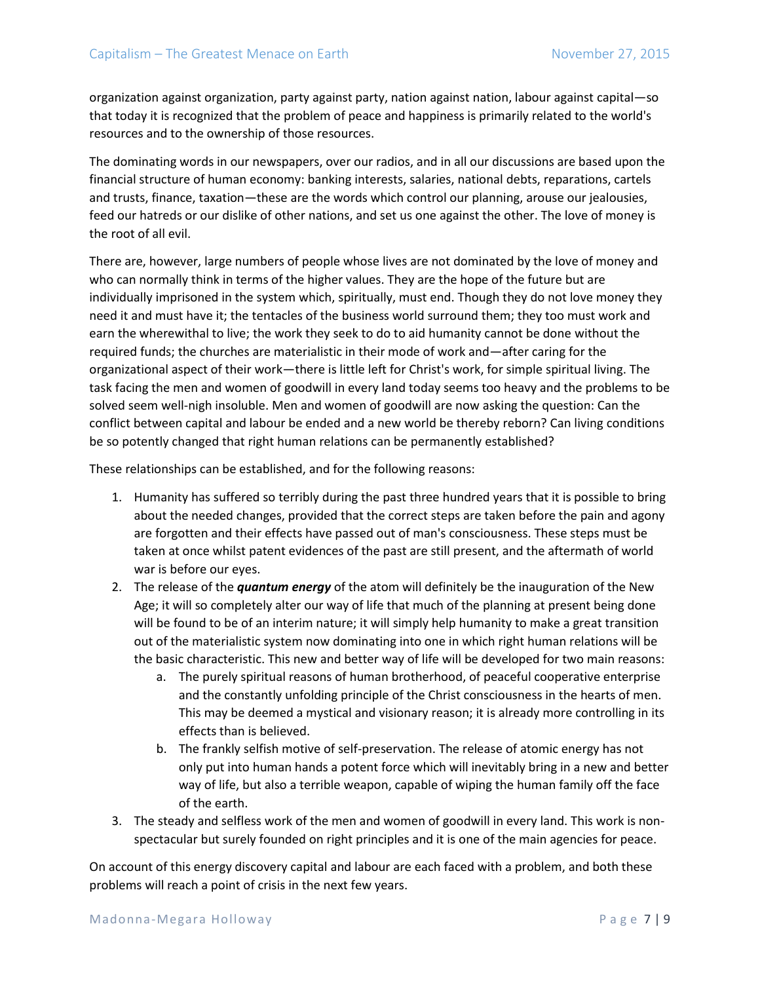organization against organization, party against party, nation against nation, labour against capital—so that today it is recognized that the problem of peace and happiness is primarily related to the world's resources and to the ownership of those resources.

The dominating words in our newspapers, over our radios, and in all our discussions are based upon the financial structure of human economy: banking interests, salaries, national debts, reparations, cartels and trusts, finance, taxation—these are the words which control our planning, arouse our jealousies, feed our hatreds or our dislike of other nations, and set us one against the other. The love of money is the root of all evil.

There are, however, large numbers of people whose lives are not dominated by the love of money and who can normally think in terms of the higher values. They are the hope of the future but are individually imprisoned in the system which, spiritually, must end. Though they do not love money they need it and must have it; the tentacles of the business world surround them; they too must work and earn the wherewithal to live; the work they seek to do to aid humanity cannot be done without the required funds; the churches are materialistic in their mode of work and—after caring for the organizational aspect of their work—there is little left for Christ's work, for simple spiritual living. The task facing the men and women of goodwill in every land today seems too heavy and the problems to be solved seem well-nigh insoluble. Men and women of goodwill are now asking the question: Can the conflict between capital and labour be ended and a new world be thereby reborn? Can living conditions be so potently changed that right human relations can be permanently established?

These relationships can be established, and for the following reasons:

- 1. Humanity has suffered so terribly during the past three hundred years that it is possible to bring about the needed changes, provided that the correct steps are taken before the pain and agony are forgotten and their effects have passed out of man's consciousness. These steps must be taken at once whilst patent evidences of the past are still present, and the aftermath of world war is before our eyes.
- 2. The release of the *quantum energy* of the atom will definitely be the inauguration of the New Age; it will so completely alter our way of life that much of the planning at present being done will be found to be of an interim nature; it will simply help humanity to make a great transition out of the materialistic system now dominating into one in which right human relations will be the basic characteristic. This new and better way of life will be developed for two main reasons:
	- a. The purely spiritual reasons of human brotherhood, of peaceful cooperative enterprise and the constantly unfolding principle of the Christ consciousness in the hearts of men. This may be deemed a mystical and visionary reason; it is already more controlling in its effects than is believed.
	- b. The frankly selfish motive of self-preservation. The release of atomic energy has not only put into human hands a potent force which will inevitably bring in a new and better way of life, but also a terrible weapon, capable of wiping the human family off the face of the earth.
- 3. The steady and selfless work of the men and women of goodwill in every land. This work is nonspectacular but surely founded on right principles and it is one of the main agencies for peace.

On account of this energy discovery capital and labour are each faced with a problem, and both these problems will reach a point of crisis in the next few years.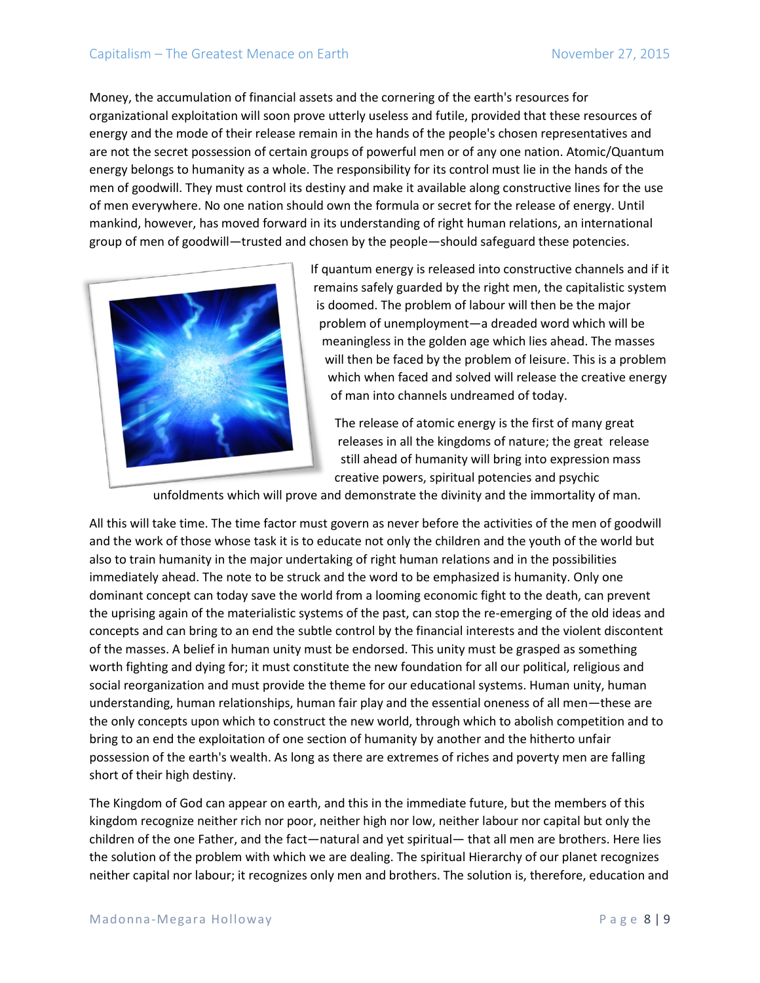Money, the accumulation of financial assets and the cornering of the earth's resources for organizational exploitation will soon prove utterly useless and futile, provided that these resources of energy and the mode of their release remain in the hands of the people's chosen representatives and are not the secret possession of certain groups of powerful men or of any one nation. Atomic/Quantum energy belongs to humanity as a whole. The responsibility for its control must lie in the hands of the men of goodwill. They must control its destiny and make it available along constructive lines for the use of men everywhere. No one nation should own the formula or secret for the release of energy. Until mankind, however, has moved forward in its understanding of right human relations, an international group of men of goodwill—trusted and chosen by the people—should safeguard these potencies.



If quantum energy is released into constructive channels and if it remains safely guarded by the right men, the capitalistic system is doomed. The problem of labour will then be the major problem of unemployment—a dreaded word which will be meaningless in the golden age which lies ahead. The masses will then be faced by the problem of leisure. This is a problem which when faced and solved will release the creative energy of man into channels undreamed of today.

The release of atomic energy is the first of many great releases in all the kingdoms of nature; the great release still ahead of humanity will bring into expression mass creative powers, spiritual potencies and psychic

unfoldments which will prove and demonstrate the divinity and the immortality of man.

All this will take time. The time factor must govern as never before the activities of the men of goodwill and the work of those whose task it is to educate not only the children and the youth of the world but also to train humanity in the major undertaking of right human relations and in the possibilities immediately ahead. The note to be struck and the word to be emphasized is humanity. Only one dominant concept can today save the world from a looming economic fight to the death, can prevent the uprising again of the materialistic systems of the past, can stop the re-emerging of the old ideas and concepts and can bring to an end the subtle control by the financial interests and the violent discontent of the masses. A belief in human unity must be endorsed. This unity must be grasped as something worth fighting and dying for; it must constitute the new foundation for all our political, religious and social reorganization and must provide the theme for our educational systems. Human unity, human understanding, human relationships, human fair play and the essential oneness of all men—these are the only concepts upon which to construct the new world, through which to abolish competition and to bring to an end the exploitation of one section of humanity by another and the hitherto unfair possession of the earth's wealth. As long as there are extremes of riches and poverty men are falling short of their high destiny.

The Kingdom of God can appear on earth, and this in the immediate future, but the members of this kingdom recognize neither rich nor poor, neither high nor low, neither labour nor capital but only the children of the one Father, and the fact—natural and yet spiritual— that all men are brothers. Here lies the solution of the problem with which we are dealing. The spiritual Hierarchy of our planet recognizes neither capital nor labour; it recognizes only men and brothers. The solution is, therefore, education and